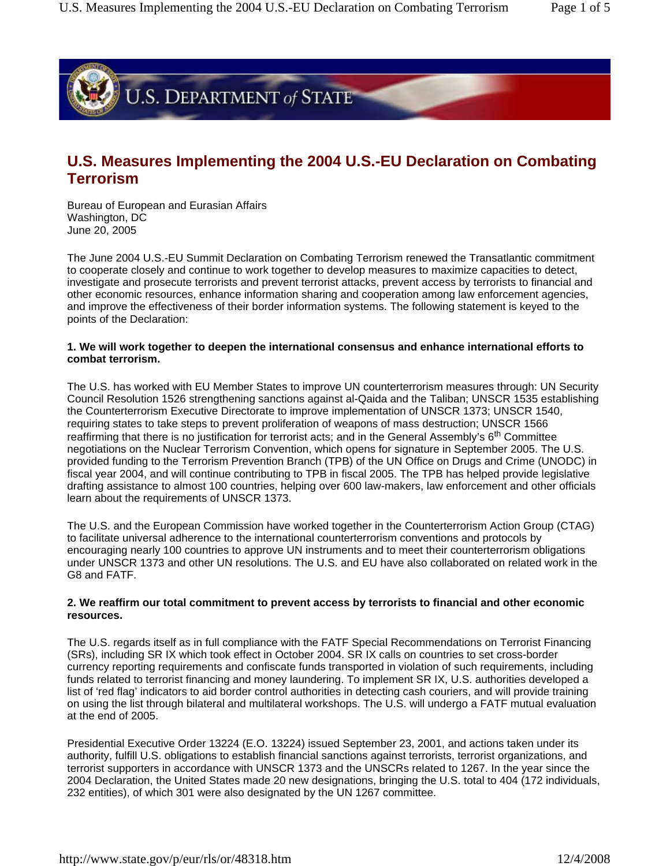

# **U.S. Measures Implementing the 2004 U.S.-EU Declaration on Combating Terrorism**

Bureau of European and Eurasian Affairs Washington, DC June 20, 2005

The June 2004 U.S.-EU Summit Declaration on Combating Terrorism renewed the Transatlantic commitment to cooperate closely and continue to work together to develop measures to maximize capacities to detect, investigate and prosecute terrorists and prevent terrorist attacks, prevent access by terrorists to financial and other economic resources, enhance information sharing and cooperation among law enforcement agencies, and improve the effectiveness of their border information systems. The following statement is keyed to the points of the Declaration:

### **1. We will work together to deepen the international consensus and enhance international efforts to combat terrorism.**

The U.S. has worked with EU Member States to improve UN counterterrorism measures through: UN Security Council Resolution 1526 strengthening sanctions against al-Qaida and the Taliban; UNSCR 1535 establishing the Counterterrorism Executive Directorate to improve implementation of UNSCR 1373; UNSCR 1540, requiring states to take steps to prevent proliferation of weapons of mass destruction; UNSCR 1566 reaffirming that there is no justification for terrorist acts; and in the General Assembly's 6<sup>th</sup> Committee negotiations on the Nuclear Terrorism Convention, which opens for signature in September 2005. The U.S. provided funding to the Terrorism Prevention Branch (TPB) of the UN Office on Drugs and Crime (UNODC) in fiscal year 2004, and will continue contributing to TPB in fiscal 2005. The TPB has helped provide legislative drafting assistance to almost 100 countries, helping over 600 law-makers, law enforcement and other officials learn about the requirements of UNSCR 1373.

The U.S. and the European Commission have worked together in the Counterterrorism Action Group (CTAG) to facilitate universal adherence to the international counterterrorism conventions and protocols by encouraging nearly 100 countries to approve UN instruments and to meet their counterterrorism obligations under UNSCR 1373 and other UN resolutions. The U.S. and EU have also collaborated on related work in the G8 and FATF.

## **2. We reaffirm our total commitment to prevent access by terrorists to financial and other economic resources.**

The U.S. regards itself as in full compliance with the FATF Special Recommendations on Terrorist Financing (SRs), including SR IX which took effect in October 2004. SR IX calls on countries to set cross-border currency reporting requirements and confiscate funds transported in violation of such requirements, including funds related to terrorist financing and money laundering. To implement SR IX, U.S. authorities developed a list of 'red flag' indicators to aid border control authorities in detecting cash couriers, and will provide training on using the list through bilateral and multilateral workshops. The U.S. will undergo a FATF mutual evaluation at the end of 2005.

Presidential Executive Order 13224 (E.O. 13224) issued September 23, 2001, and actions taken under its authority, fulfill U.S. obligations to establish financial sanctions against terrorists, terrorist organizations, and terrorist supporters in accordance with UNSCR 1373 and the UNSCRs related to 1267. In the year since the 2004 Declaration, the United States made 20 new designations, bringing the U.S. total to 404 (172 individuals, 232 entities), of which 301 were also designated by the UN 1267 committee.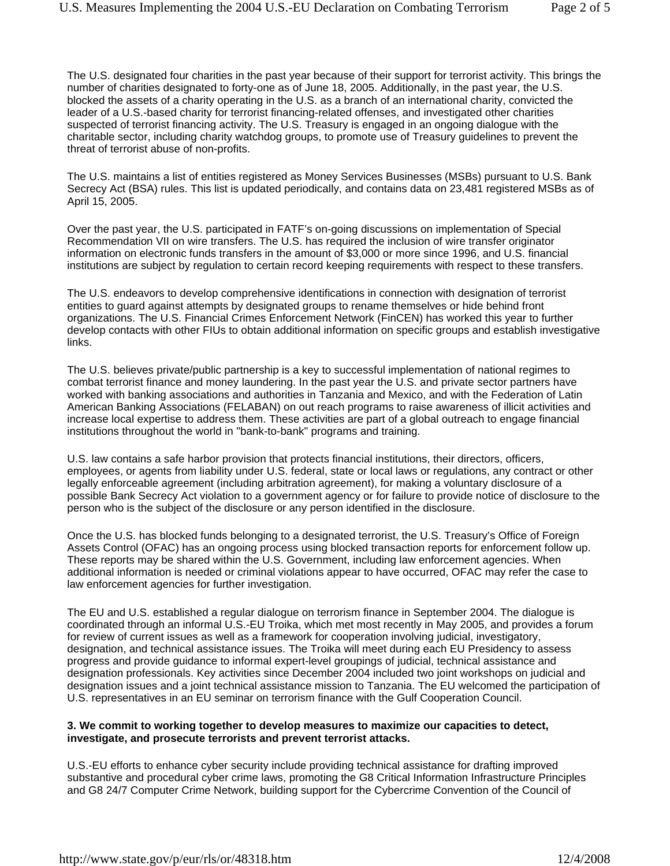The U.S. designated four charities in the past year because of their support for terrorist activity. This brings the number of charities designated to forty-one as of June 18, 2005. Additionally, in the past year, the U.S. blocked the assets of a charity operating in the U.S. as a branch of an international charity, convicted the leader of a U.S.-based charity for terrorist financing-related offenses, and investigated other charities suspected of terrorist financing activity. The U.S. Treasury is engaged in an ongoing dialogue with the charitable sector, including charity watchdog groups, to promote use of Treasury guidelines to prevent the threat of terrorist abuse of non-profits.

The U.S. maintains a list of entities registered as Money Services Businesses (MSBs) pursuant to U.S. Bank Secrecy Act (BSA) rules. This list is updated periodically, and contains data on 23,481 registered MSBs as of April 15, 2005.

Over the past year, the U.S. participated in FATF's on-going discussions on implementation of Special Recommendation VII on wire transfers. The U.S. has required the inclusion of wire transfer originator information on electronic funds transfers in the amount of \$3,000 or more since 1996, and U.S. financial institutions are subject by regulation to certain record keeping requirements with respect to these transfers.

The U.S. endeavors to develop comprehensive identifications in connection with designation of terrorist entities to guard against attempts by designated groups to rename themselves or hide behind front organizations. The U.S. Financial Crimes Enforcement Network (FinCEN) has worked this year to further develop contacts with other FIUs to obtain additional information on specific groups and establish investigative links.

The U.S. believes private/public partnership is a key to successful implementation of national regimes to combat terrorist finance and money laundering. In the past year the U.S. and private sector partners have worked with banking associations and authorities in Tanzania and Mexico, and with the Federation of Latin American Banking Associations (FELABAN) on out reach programs to raise awareness of illicit activities and increase local expertise to address them. These activities are part of a global outreach to engage financial institutions throughout the world in "bank-to-bank" programs and training.

U.S. law contains a safe harbor provision that protects financial institutions, their directors, officers, employees, or agents from liability under U.S. federal, state or local laws or regulations, any contract or other legally enforceable agreement (including arbitration agreement), for making a voluntary disclosure of a possible Bank Secrecy Act violation to a government agency or for failure to provide notice of disclosure to the person who is the subject of the disclosure or any person identified in the disclosure.

Once the U.S. has blocked funds belonging to a designated terrorist, the U.S. Treasury's Office of Foreign Assets Control (OFAC) has an ongoing process using blocked transaction reports for enforcement follow up. These reports may be shared within the U.S. Government, including law enforcement agencies. When additional information is needed or criminal violations appear to have occurred, OFAC may refer the case to law enforcement agencies for further investigation.

The EU and U.S. established a regular dialogue on terrorism finance in September 2004. The dialogue is coordinated through an informal U.S.-EU Troika, which met most recently in May 2005, and provides a forum for review of current issues as well as a framework for cooperation involving judicial, investigatory, designation, and technical assistance issues. The Troika will meet during each EU Presidency to assess progress and provide guidance to informal expert-level groupings of judicial, technical assistance and designation professionals. Key activities since December 2004 included two joint workshops on judicial and designation issues and a joint technical assistance mission to Tanzania. The EU welcomed the participation of U.S. representatives in an EU seminar on terrorism finance with the Gulf Cooperation Council.

## **3. We commit to working together to develop measures to maximize our capacities to detect, investigate, and prosecute terrorists and prevent terrorist attacks.**

U.S.-EU efforts to enhance cyber security include providing technical assistance for drafting improved substantive and procedural cyber crime laws, promoting the G8 Critical Information Infrastructure Principles and G8 24/7 Computer Crime Network, building support for the Cybercrime Convention of the Council of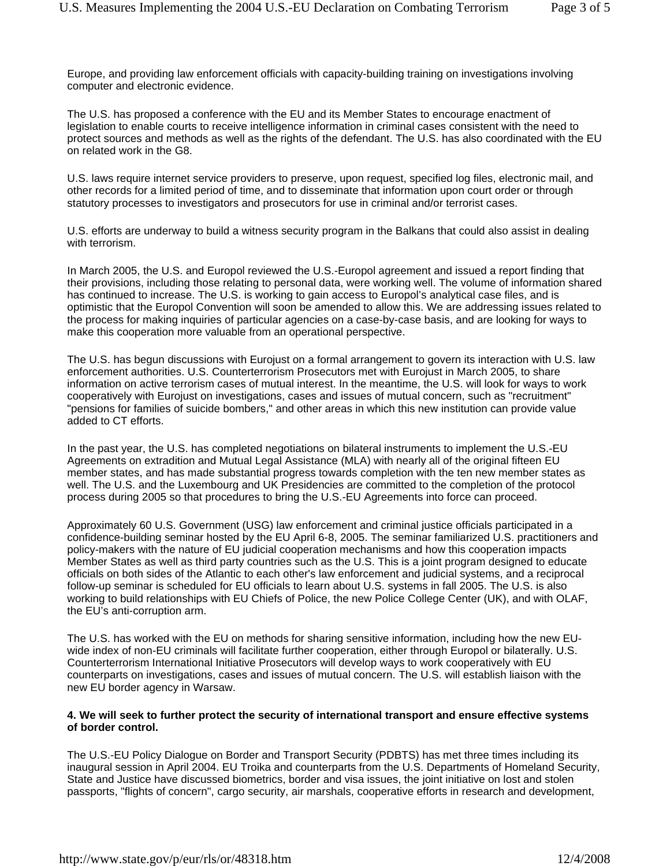Europe, and providing law enforcement officials with capacity-building training on investigations involving computer and electronic evidence.

The U.S. has proposed a conference with the EU and its Member States to encourage enactment of legislation to enable courts to receive intelligence information in criminal cases consistent with the need to protect sources and methods as well as the rights of the defendant. The U.S. has also coordinated with the EU on related work in the G8.

U.S. laws require internet service providers to preserve, upon request, specified log files, electronic mail, and other records for a limited period of time, and to disseminate that information upon court order or through statutory processes to investigators and prosecutors for use in criminal and/or terrorist cases.

U.S. efforts are underway to build a witness security program in the Balkans that could also assist in dealing with terrorism.

In March 2005, the U.S. and Europol reviewed the U.S.-Europol agreement and issued a report finding that their provisions, including those relating to personal data, were working well. The volume of information shared has continued to increase. The U.S. is working to gain access to Europol's analytical case files, and is optimistic that the Europol Convention will soon be amended to allow this. We are addressing issues related to the process for making inquiries of particular agencies on a case-by-case basis, and are looking for ways to make this cooperation more valuable from an operational perspective.

The U.S. has begun discussions with Eurojust on a formal arrangement to govern its interaction with U.S. law enforcement authorities. U.S. Counterterrorism Prosecutors met with Eurojust in March 2005, to share information on active terrorism cases of mutual interest. In the meantime, the U.S. will look for ways to work cooperatively with Eurojust on investigations, cases and issues of mutual concern, such as "recruitment" "pensions for families of suicide bombers," and other areas in which this new institution can provide value added to CT efforts.

In the past year, the U.S. has completed negotiations on bilateral instruments to implement the U.S.-EU Agreements on extradition and Mutual Legal Assistance (MLA) with nearly all of the original fifteen EU member states, and has made substantial progress towards completion with the ten new member states as well. The U.S. and the Luxembourg and UK Presidencies are committed to the completion of the protocol process during 2005 so that procedures to bring the U.S.-EU Agreements into force can proceed.

Approximately 60 U.S. Government (USG) law enforcement and criminal justice officials participated in a confidence-building seminar hosted by the EU April 6-8, 2005. The seminar familiarized U.S. practitioners and policy-makers with the nature of EU judicial cooperation mechanisms and how this cooperation impacts Member States as well as third party countries such as the U.S. This is a joint program designed to educate officials on both sides of the Atlantic to each other's law enforcement and judicial systems, and a reciprocal follow-up seminar is scheduled for EU officials to learn about U.S. systems in fall 2005. The U.S. is also working to build relationships with EU Chiefs of Police, the new Police College Center (UK), and with OLAF, the EU's anti-corruption arm.

The U.S. has worked with the EU on methods for sharing sensitive information, including how the new EUwide index of non-EU criminals will facilitate further cooperation, either through Europol or bilaterally. U.S. Counterterrorism International Initiative Prosecutors will develop ways to work cooperatively with EU counterparts on investigations, cases and issues of mutual concern. The U.S. will establish liaison with the new EU border agency in Warsaw.

## **4. We will seek to further protect the security of international transport and ensure effective systems of border control.**

The U.S.-EU Policy Dialogue on Border and Transport Security (PDBTS) has met three times including its inaugural session in April 2004. EU Troika and counterparts from the U.S. Departments of Homeland Security, State and Justice have discussed biometrics, border and visa issues, the joint initiative on lost and stolen passports, "flights of concern", cargo security, air marshals, cooperative efforts in research and development,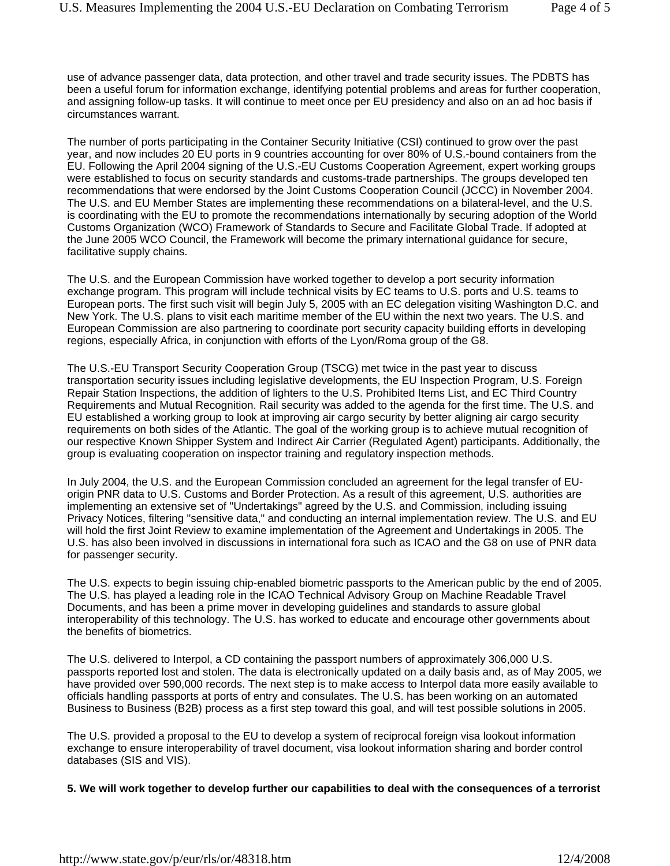use of advance passenger data, data protection, and other travel and trade security issues. The PDBTS has been a useful forum for information exchange, identifying potential problems and areas for further cooperation, and assigning follow-up tasks. It will continue to meet once per EU presidency and also on an ad hoc basis if circumstances warrant.

The number of ports participating in the Container Security Initiative (CSI) continued to grow over the past year, and now includes 20 EU ports in 9 countries accounting for over 80% of U.S.-bound containers from the EU. Following the April 2004 signing of the U.S.-EU Customs Cooperation Agreement, expert working groups were established to focus on security standards and customs-trade partnerships. The groups developed ten recommendations that were endorsed by the Joint Customs Cooperation Council (JCCC) in November 2004. The U.S. and EU Member States are implementing these recommendations on a bilateral-level, and the U.S. is coordinating with the EU to promote the recommendations internationally by securing adoption of the World Customs Organization (WCO) Framework of Standards to Secure and Facilitate Global Trade. If adopted at the June 2005 WCO Council, the Framework will become the primary international guidance for secure, facilitative supply chains.

The U.S. and the European Commission have worked together to develop a port security information exchange program. This program will include technical visits by EC teams to U.S. ports and U.S. teams to European ports. The first such visit will begin July 5, 2005 with an EC delegation visiting Washington D.C. and New York. The U.S. plans to visit each maritime member of the EU within the next two years. The U.S. and European Commission are also partnering to coordinate port security capacity building efforts in developing regions, especially Africa, in conjunction with efforts of the Lyon/Roma group of the G8.

The U.S.-EU Transport Security Cooperation Group (TSCG) met twice in the past year to discuss transportation security issues including legislative developments, the EU Inspection Program, U.S. Foreign Repair Station Inspections, the addition of lighters to the U.S. Prohibited Items List, and EC Third Country Requirements and Mutual Recognition. Rail security was added to the agenda for the first time. The U.S. and EU established a working group to look at improving air cargo security by better aligning air cargo security requirements on both sides of the Atlantic. The goal of the working group is to achieve mutual recognition of our respective Known Shipper System and Indirect Air Carrier (Regulated Agent) participants. Additionally, the group is evaluating cooperation on inspector training and regulatory inspection methods.

In July 2004, the U.S. and the European Commission concluded an agreement for the legal transfer of EUorigin PNR data to U.S. Customs and Border Protection. As a result of this agreement, U.S. authorities are implementing an extensive set of "Undertakings" agreed by the U.S. and Commission, including issuing Privacy Notices, filtering "sensitive data," and conducting an internal implementation review. The U.S. and EU will hold the first Joint Review to examine implementation of the Agreement and Undertakings in 2005. The U.S. has also been involved in discussions in international fora such as ICAO and the G8 on use of PNR data for passenger security.

The U.S. expects to begin issuing chip-enabled biometric passports to the American public by the end of 2005. The U.S. has played a leading role in the ICAO Technical Advisory Group on Machine Readable Travel Documents, and has been a prime mover in developing guidelines and standards to assure global interoperability of this technology. The U.S. has worked to educate and encourage other governments about the benefits of biometrics.

The U.S. delivered to Interpol, a CD containing the passport numbers of approximately 306,000 U.S. passports reported lost and stolen. The data is electronically updated on a daily basis and, as of May 2005, we have provided over 590,000 records. The next step is to make access to Interpol data more easily available to officials handling passports at ports of entry and consulates. The U.S. has been working on an automated Business to Business (B2B) process as a first step toward this goal, and will test possible solutions in 2005.

The U.S. provided a proposal to the EU to develop a system of reciprocal foreign visa lookout information exchange to ensure interoperability of travel document, visa lookout information sharing and border control databases (SIS and VIS).

**5. We will work together to develop further our capabilities to deal with the consequences of a terrorist**